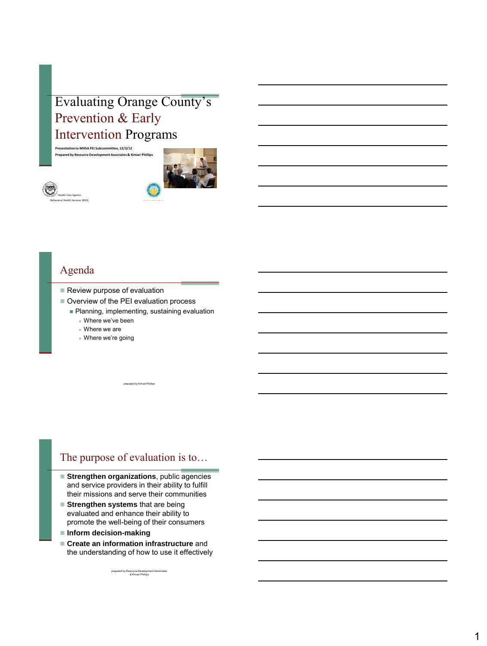# Evaluating Orange County's Prevention & Early Intervention Programs

**Presentation to MHSA PEI Subcommittee, 12/3/12 Prepared by Resource Development Associates & Kimari Phillips**





### Agenda

- Review purpose of evaluation
- Overview of the PEI evaluation process
	- Planning, implementing, sustaining evaluation Where we've been

red by Kimari Phillips

- Where we are
- Where we're going

### The purpose of evaluation is to…

- **Strengthen organizations**, public agencies and service providers in their ability to fulfill their missions and serve their communities
- **Strengthen systems** that are being evaluated and enhance their ability to promote the well-being of their consumers
- **Inform decision-making**
- **Create an information infrastructure** and the understanding of how to use it effectively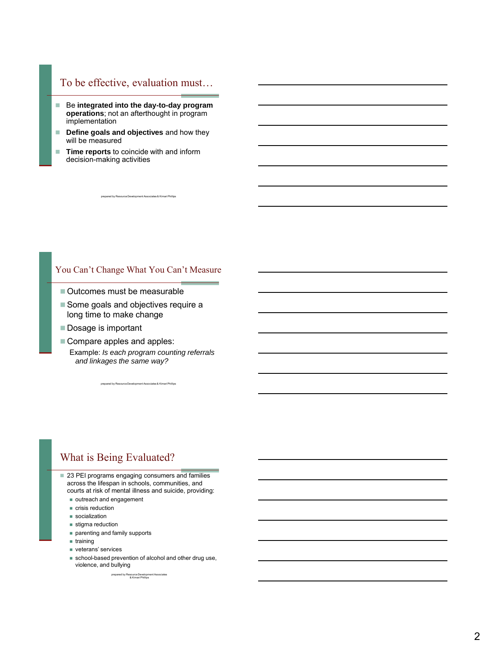## To be effective, evaluation must…

- Be integrated into the day-to-day program **operations**; not an afterthought in program implementation
- **Define goals and objectives** and how they will be measured
- **Time reports** to coincide with and inform decision-making activities

#### You Can't Change What You Can't Measure

prepared by Resource Development Associates & Kimari Phillips

- Outcomes must be measurable
- Some goals and objectives require a long time to make change
- Dosage is important
- Compare apples and apples: Example: *Is each program counting referrals and linkages the same way?*

prepared by Resource Development Associates & Kimari Phillips

### What is Being Evaluated?

- 23 PEI programs engaging consumers and families across the lifespan in schools, communities, and courts at risk of mental illness and suicide, providing:
	- outreach and engagement
	- crisis reduction
	- socialization
	- stigma reduction
	- parenting and family supports
	- $$
	- veterans' services
	- school-based prevention of alcohol and other drug use, violence, and bullying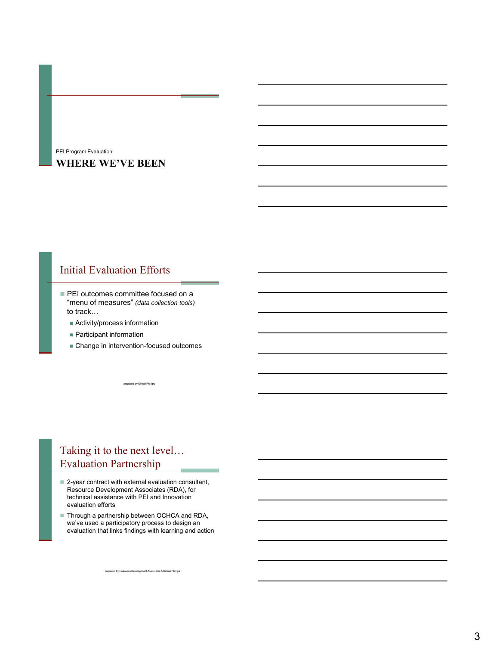#### **WHERE WE'VE BEEN** PEI Program Evaluation

## Initial Evaluation Efforts

- PEI outcomes committee focused on a "menu of measures" *(data collection tools)*  to track…
	- **Activity/process information**
	- **Participant information**
	- **Change in intervention-focused outcomes**

prepared by Kimari Phillips

# Taking it to the next level… Evaluation Partnership

- 2-year contract with external evaluation consultant, Resource Development Associates (RDA), for technical assistance with PEI and Innovation evaluation efforts
- Through a partnership between OCHCA and RDA, we've used a participatory process to design an evaluation that links findings with learning and action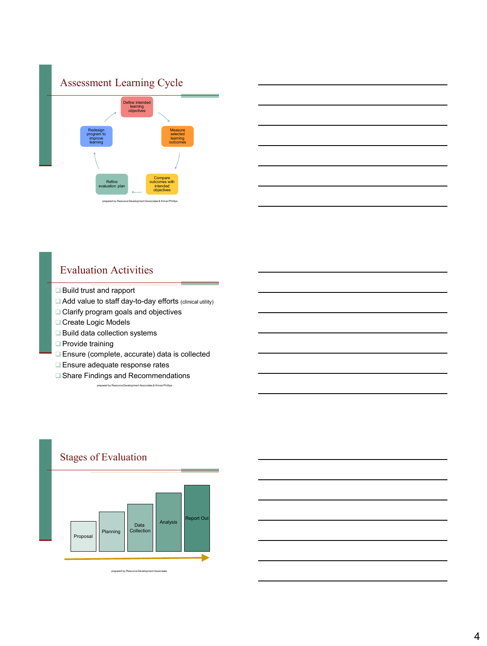



## Evaluation Activities

- □ Build trust and rapport
- Add value to staff day-to-day efforts (clinical utility)
- □ Clarify program goals and objectives
- Create Logic Models
- □ Build data collection systems
- □ Provide training
- Ensure (complete, accurate) data is collected
- **Ensure adequate response rates**
- □ Share Findings and Recommendations

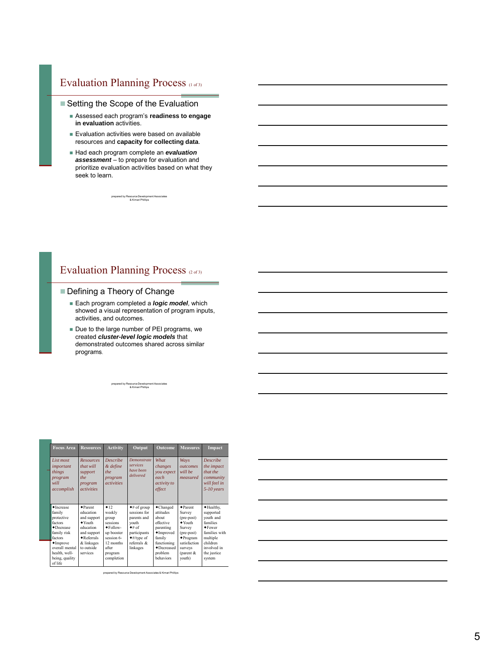# Evaluation Planning Process (1 of 3)

#### ■ Setting the Scope of the Evaluation

- Assessed each program's **readiness to engage in evaluation** activities.
- **Evaluation activities were based on available** resources and **capacity for collecting data**.
- Had each program complete an *evaluation assessment* – to prepare for evaluation and prioritize evaluation activities based on what they seek to learn.

prepared by Resource Development Associates & Kimari Phillips

### Evaluation Planning Process (2 of 3)

#### Defining a Theory of Change

- Each program completed a *logic model,* which showed a visual representation of program inputs, activities, and outcomes.
- Due to the large number of PEI programs, we created *cluster-level logic models* that demonstrated outcomes shared across similar programs.

| <b>Focus Area</b>                                                                                                                                          | <b>Resources</b>                                                                                                                                                       | <b>Activity</b>                                                                                             | Output                                                                                                                                 | <b>Outcome</b>                                                                                                 | <b>Measures</b>                                                                                                                                       | <b>Impact</b>                                                                                                               |
|------------------------------------------------------------------------------------------------------------------------------------------------------------|------------------------------------------------------------------------------------------------------------------------------------------------------------------------|-------------------------------------------------------------------------------------------------------------|----------------------------------------------------------------------------------------------------------------------------------------|----------------------------------------------------------------------------------------------------------------|-------------------------------------------------------------------------------------------------------------------------------------------------------|-----------------------------------------------------------------------------------------------------------------------------|
| List most<br>important<br>things<br>program<br>will<br>accomplish                                                                                          | <b>Resources</b><br>that will<br>support<br>the<br>program<br><i>activities</i>                                                                                        | <b>Describe</b><br>& define<br>the<br>program<br><i>activities</i>                                          | <b>Demonstrate</b><br>services<br>have been<br>delivered                                                                               | What<br>changes<br>you expect<br>each<br>activity to<br>effect                                                 | Ways<br><i><u>outcomes</u></i><br>will be<br>measured                                                                                                 | <b>Describe</b><br>the impact<br>that the<br>community<br>will feel in<br>5-10 years                                        |
| •Increase<br>family<br>protective<br>factors<br>$\bullet$ Decrease<br>family risk<br>factors<br>$\blacklozenge$ Improve<br>overall mental<br>health. well- | $\bullet$ Parent<br>education<br>and support<br>$\blacktriangleright$ Youth<br>education<br>and support<br>$\bullet$ Referrals<br>& linkages<br>to outside<br>services | $+12$<br>weekly<br>group<br>sessions<br>$\bullet$ Follow-<br>up booster<br>session 6-<br>12 months<br>after | $\bullet$ # of group<br>sessions for<br>parents and<br>vouth<br>$+#$ of<br>participants<br>$*#$ /type of<br>referrals $\&$<br>linkages | ◆ Changed<br>attitudes<br>about<br>effective<br>parenting<br>• Improved<br>family<br>functioning<br>◆Decreased | $\bullet$ Parent<br>Survey<br>(pre-post)<br>$\blacktriangleright$ Youth<br>Survey<br>(pre-post)<br>$\blacklozenge$ Program<br>satisfaction<br>surveys | ◆ Healthy,<br>supported<br>youth and<br>families<br>$\bullet$ Fewer<br>families with<br>multiple<br>children<br>involved in |
| being, quality<br>of life                                                                                                                                  |                                                                                                                                                                        | program<br>completion                                                                                       |                                                                                                                                        | problem<br>behaviors                                                                                           | (parent &<br>youth)                                                                                                                                   | the justice<br>system                                                                                                       |

prepared by Resource Development Associates & Kimari Phillips

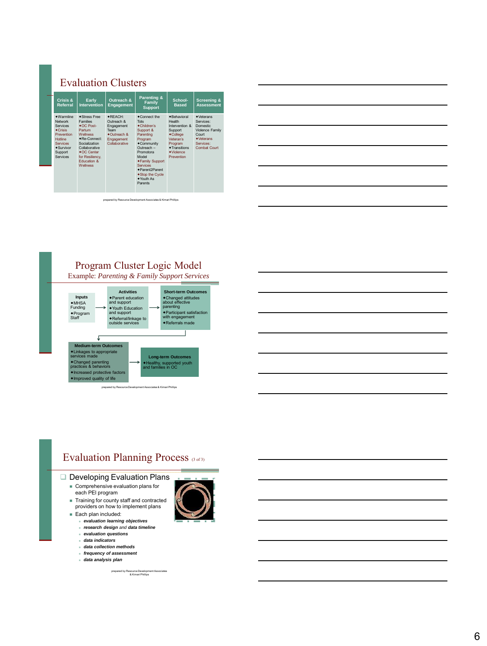# Evaluation Clusters

| Crisis &<br>Referral                                                                                                                                                  | Early<br><b>Intervention</b>                                                                                                                                                                                                  | Outreach &<br>Engagement                                                                           | Parenting &<br><b>Family</b><br><b>Support</b>                                                                                                                                                                                              | School-<br><b>Based</b>                                                                                                                                                         | <b>Screening &amp;</b><br><b>Assessment</b>                                                                                                   |
|-----------------------------------------------------------------------------------------------------------------------------------------------------------------------|-------------------------------------------------------------------------------------------------------------------------------------------------------------------------------------------------------------------------------|----------------------------------------------------------------------------------------------------|---------------------------------------------------------------------------------------------------------------------------------------------------------------------------------------------------------------------------------------------|---------------------------------------------------------------------------------------------------------------------------------------------------------------------------------|-----------------------------------------------------------------------------------------------------------------------------------------------|
| $*$ Warmline<br>Network<br><b>Services</b><br>$\bullet$ Crisis<br>Prevention<br><b>Hotline</b><br><b>Services</b><br>$\bullet$ Survivor<br>Support<br><b>Services</b> | ◆Stress Free<br><b>Families</b><br>$\bullet$ OC Post-<br>Partum<br><b>Wellness</b><br>$\bullet$ Re-Connect:<br>Socialization<br>Collaborative<br>$\bullet$ OC Center<br>for Resiliency.<br><b>Education &amp;</b><br>Wellness | ◆REACH:<br>Outreach &<br>Engagement<br>Team<br>$\bullet$ Outreach &<br>Engagement<br>Collaborative | ◆Connect the<br>Tots<br>◆Children's<br>Support &<br>Parenting<br>Program<br>• Community<br>Outreach -<br>Promotora<br>Model<br>◆Family Support<br><b>Services</b><br>◆ Parent2 Parent<br>◆Stop the Cycle<br>$\triangle$ Youth As<br>Parents | <b>+Behavioral</b><br>Health<br>Intervention &<br>Support<br>$\bullet$ College<br>Veteran's<br>Program<br>$\blacklozenge$ Transitions<br>$\blacklozenge$ Violence<br>Prevention | $\blacklozenge$ Veterans<br>Services:<br>Domestic<br><b>Violence Family</b><br>Court<br>$\blacklozenge$ Veterans<br>Services:<br>Combat Court |

prepared by Resource Development Associates & Kimari Phillips







#### Developing Evaluation Plans

- Comprehensive evaluation plans for
- each PEl program Training for county staff and contracted providers on how to implement plans
- Each plan included:
	- *evaluation learning objectives*
	- *research design and data timeline*
	- *evaluation questions*
	- *data indicators*
	- *data collection methods*
	- *frequency of assessment*
	- *data analysis plan*

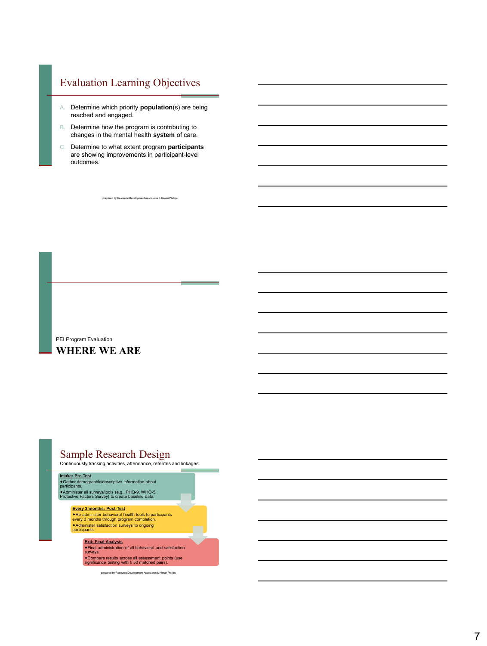## Evaluation Learning Objectives

- A. Determine which priority **population**(s) are being reached and engaged.
- B. Determine how the program is contributing to changes in the mental health **system** of care.
- C. Determine to what extent program **participants** are showing improvements in participant-level outcomes.

ed by Resource Development Associates & Kimari P

# PEI Program Evaluation

# **WHERE WE ARE**

# Sample Research Design

Continuously tracking activities, attendance, referrals and linkages.



Administer satisfaction surveys to ongoing participants.

**Exit: Final Analysis** Final administration of all behavioral and satisfaction surveys. Compare results across all assessment points (use significance testing with ≥ 50 matched pairs).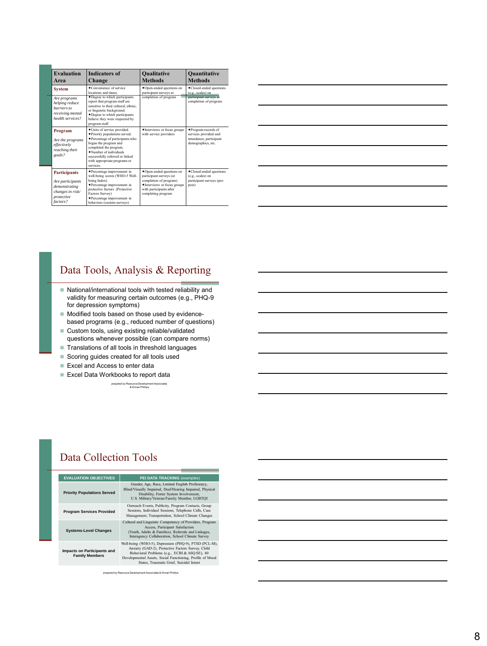| <b>Evaluation</b><br>Area                                                                                                                                                                                                                                                                                                                | <b>Indicators of</b><br>Change                                                                                                                                                                                               | <b>Qualitative</b><br><b>Methods</b>                                                                                                                           | <b>Quantitative</b><br><b>Methods</b>                                                         |
|------------------------------------------------------------------------------------------------------------------------------------------------------------------------------------------------------------------------------------------------------------------------------------------------------------------------------------------|------------------------------------------------------------------------------------------------------------------------------------------------------------------------------------------------------------------------------|----------------------------------------------------------------------------------------------------------------------------------------------------------------|-----------------------------------------------------------------------------------------------|
| <b>System</b>                                                                                                                                                                                                                                                                                                                            | ◆Convenience of service<br>locations and times                                                                                                                                                                               | ◆Open-ended questions on<br>participant surveys at                                                                                                             | •Closed-ended questions<br>(e.g., scales) on                                                  |
| Are programs<br>helping reduce<br>barriers to<br>receiving mental<br>health services?                                                                                                                                                                                                                                                    | • Degree to which participants<br>report that program staff are<br>sensitive to their cultural, ethnic.<br>or linguistic background.<br>• Degree to which participants<br>believe they were respected by<br>program staff.   | completion of program                                                                                                                                          | participant surveys at<br>completion of program                                               |
| · Units of service provided.<br>Program<br>◆ Priority populations served.<br>◆ Percentage of participants who<br>Are the programs<br>began the program and<br>effectively<br>completed the program.<br>reaching their<br>·Number of individuals<br>goals?<br>successfully referred or linked<br>with appropriate programs or<br>services |                                                                                                                                                                                                                              | • Interviews or focus groups<br>with service providers                                                                                                         | ◆Program records of<br>services provided and<br>attendance, participant<br>demographics, etc. |
| <b>Participants</b><br>Are participants<br>demonstrating<br>changes in risk/<br>protective<br>factors?                                                                                                                                                                                                                                   | ◆Percentage improvement in<br>well-being scores (WHO-5 Well-<br>being Index).<br>◆Percentage improvement in<br>protective factors (Protective<br>Factors Survey)<br>◆Percentage improvement in<br>behaviors (custom surveys) | ◆Open-ended questions on<br>participant surveys (at<br>completion of program)<br>• Interviews or focus groups<br>with participants after<br>completing program | •Closed-ended questions<br>(e.g., scales) on<br>participant surveys (pre-<br>post)            |

| <u> 1980 - Andrea Stadt Britain, amerikansk politik (* 1980)</u> |  |  |
|------------------------------------------------------------------|--|--|
|                                                                  |  |  |
| <u> 1980 - Johann Barbara, martxa alemaniar amerikan a</u>       |  |  |
|                                                                  |  |  |

## Data Tools, Analysis & Reporting

- National/international tools with tested reliability and validity for measuring certain outcomes (e.g., PHQ -9 for depression symptoms)
- Modified tools based on those used by evidencebased programs (e.g., reduced number of questions)
- Custom tools, using existing reliable/validated questions whenever possible (can compare norms)
- Translations of all tools in threshold languages
- Scoring guides created for all tools used
- Excel and Access to enter data
- Excel Data Workbooks to report data

prepared by Resource Development Associates & Kimari Phillips

# Data Collection Tools

| <b>EVALUATION OBJECTIVES</b>                         | PEI DATA TRACKING (examples)                                                                                                                                                                                                                                         |
|------------------------------------------------------|----------------------------------------------------------------------------------------------------------------------------------------------------------------------------------------------------------------------------------------------------------------------|
| <b>Priority Populations Served</b>                   | Gender, Age, Race, Limited English Proficiency,<br>Blind/Visually Impaired, Deaf/Hearing Impaired, Physical<br>Disability, Foster System Involvement,<br>U.S. Military/Veteran/Family Member, LGBTQI                                                                 |
| <b>Program Services Provided</b>                     | Outreach Events, Publicity, Program Contacts, Group<br>Sessions, Individual Sessions, Telephone Calls, Case<br>Management, Transportation, School Climate Changes                                                                                                    |
| <b>Systems-Level Changes</b>                         | Cultural and Linguistic Competency of Providers, Program<br>Access, Participant Satisfaction<br>(Youth, Adults & Families), Referrals and Linkages,<br>Interagency Collaboration, School Climate Survey                                                              |
| Impacts on Participants and<br><b>Family Members</b> | Well-being (WHO-5), Depression (PHQ-9), PTSD (PCL-M),<br>Anxiety (GAD-2), Protective Factors Survey, Child<br>Behavioral Problems (e.g., ECBI & ASQ:SE), 40<br>Developmental Assets, Social Functioning, Profile of Mood<br>States. Traumatic Grief. Suicidal Intent |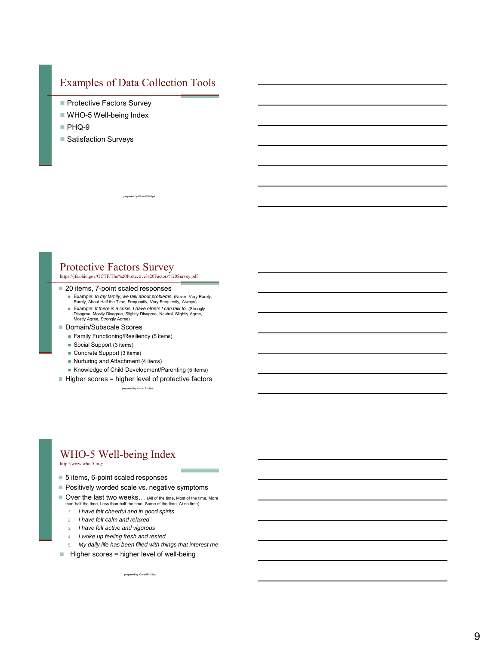## Examples of Data Collection Tools

- Protective Factors Survey
- WHO-5 Well-being Index
- PHQ-9
- Satisfaction Surveys

ed by Kimari I

### Protective Factors Survey

https://jfs.ohio.gov/OCTF/The%20Protective%20Factors%20Survey.pdf

#### ■ 20 items, 7-point scaled responses

- **Example:** *In my family, we talk about problems*. (Never, Very Rarely, Rarely, Rarely, Always)
- Example: *If there is a crisis, I have others I can talk to.* (Strongly Disagree, Mostly Disagree, Slightly Disagree, Neutral, Slightly Agree, Mostly Agree, Strongly Agree)
- Domain/Subscale Scores
	- **Family Functioning/Resiliency (5 items)**
	- Social Support (3 items)
	- Concrete Support (3 items)
	- Nurturing and Attachment (4 items)
	- Knowledge of Child Development/Parenting (5 items)
- $\blacksquare$  Higher scores = higher level of protective factors

prepared by Kimari Phillips

# WHO-5 Well-being Index

http://www.who-5.org/

- 5 items, 6-point scaled responses
- Positively worded scale vs. negative symptoms
- Over the last two weeks... (All of the time, Most of the time, More than half the time, Less than half the time, Some of the time, At no time)
	- *1. I have felt cheerful and in good spirits*
	- *2. I have felt calm and relaxed*
	- *3. I have felt active and vigorous*
	- *4. I woke up feeling fresh and rested*
	- *5. My daily life has been filled with things that interest me*

prepared by Kimari Phillips

 $\blacksquare$  Higher scores = higher level of well-being

9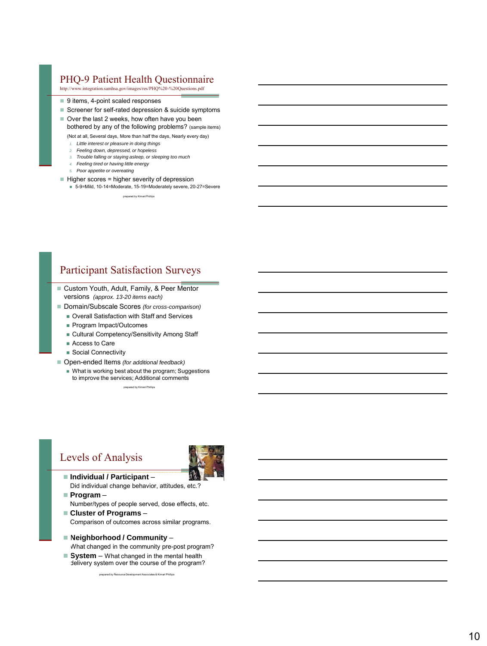## PHQ -9 Patient Health Questionnaire

http://www.integration.samhsa.gov/images/res/PHQ%20-%20Questions.pdf

- 9 items, 4-point scaled responses
- Screener for self-rated depression & suicide symptoms

 $\blacksquare$  Over the last 2 weeks, how often have you been bothered by any of the following problems? (sample items)

(Not at all, Several days, More than half the days, Nearly every day)

- *1. Little interest or pleasure in doing things*
- *2. Feeling down, depressed, or hopeless*
- *3. Trouble falling or staying asleep, or sleeping too much 4. Feeling tired or having little energy*
- *5. Poor appetite or overeating*
- $\blacksquare$  Higher scores = higher severity of depression

5-9=Mild, 10-14=Moderate, 15-19=Moderately severe, 20 -27=Severe

prepared by Kimari Phillips

## Participant Satisfaction Surveys

- Custom Youth, Adult, Family, & Peer Mentor versions *(approx. 13 -20 items each)*
- Domain/Subscale Scores (for cross-comparison)
	- Overall Satisfaction with Staff and Services
	- **Program Impact/Outcomes**
	- Cultural Competency/Sensitivity Among Staff
	- Access to Care
	- Social Connectivity
- Open-ended Items (for additional feedback)
	- What is working best about the program; Suggestions to improve the services; Additional comments prepared by Kimari Phillips

## Levels of Analysis



- **Individual / Participant** Did individual change behavior, attitudes, etc.?
- **Program** Number/types of people served, dose effects, etc.
- **Cluster of Programs** Comparison of outcomes across similar programs.
- **Neighborhood / Community** What changed in the community pre -post program?
- System What changed in the mental health

prepared by Resource Development Associates & Kimari Phillips delivery system over the course of the program?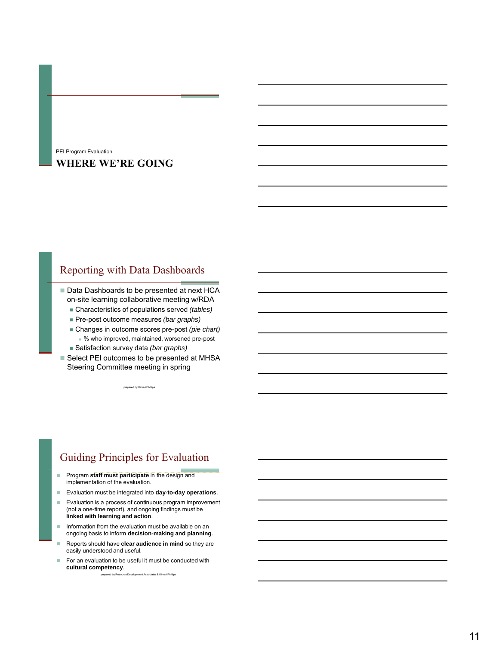### **WHERE WE'RE GOING** PEI Program Evaluation

## Reporting with Data Dashboards

■ Data Dashboards to be presented at next HCA on-site learning collaborative meeting w/RDA

- Characteristics of populations served *(tables)*
- Pre-post outcome measures *(bar graphs)*
- Changes in outcome scores pre-post *(pie chart)* % who improved, maintained, worsened pre-post
- Satisfaction survey data *(bar graphs)*
- Select PEI outcomes to be presented at MHSA Steering Committee meeting in spring

prepared by Kimari Phillips

# Guiding Principles for Evaluation

- **Program staff must participate** in the design and implementation of the evaluation.
- Evaluation must be integrated into **day-to-day operations**.
- Evaluation is a process of continuous program improvement (not a one-time report), and ongoing findings must be **linked with learning and action**.
- $\blacksquare$  Information from the evaluation must be available on an ongoing basis to inform **decision-making and planning**.
- Reports should have **clear audience in mind** so they are easily understood and useful.
- prepared by Resource Development Associates & Kimari Phillips  $\blacksquare$  For an evaluation to be useful it must be conducted with **cultural competency**.